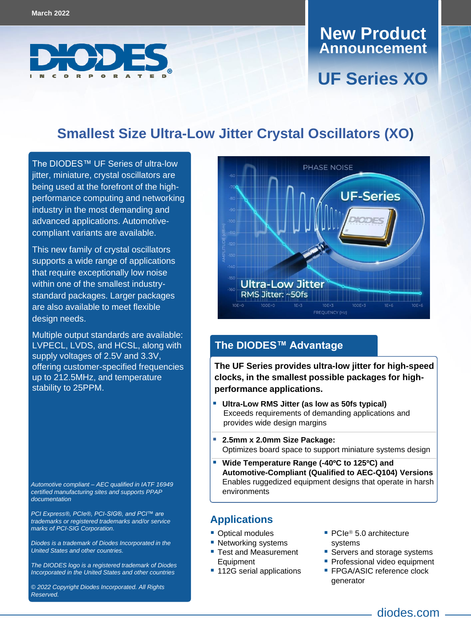

## **Announcement New Product**

# **UF Series XO**

## **Smallest Size Ultra-Low Jitter Crystal Oscillators (XO)**

The DIODES™ UF Series of ultra-low jitter, miniature, crystal oscillators are being used at the forefront of the highperformance computing and networking industry in the most demanding and advanced applications. Automotivecompliant variants are available.

This new family of crystal oscillators supports a wide range of applications that require exceptionally low noise within one of the smallest industrystandard packages. Larger packages are also available to meet flexible design needs.

Multiple output standards are available: LVPECL, LVDS, and HCSL, along with supply voltages of 2.5V and 3.3V, offering customer-specified frequencies up to 212.5MHz, and temperature stability to 25PPM.

*Automotive compliant – AEC qualified in IATF 16949 certified manufacturing sites and supports PPAP documentation*

*PCI Express®, PCIe®, PCI-SIG®, and PCI™ are trademarks or registered trademarks and/or service marks of PCI-SIG Corporation.* 

*Diodes is a trademark of Diodes Incorporated in the United States and other countries.*

*The DIODES logo is a registered trademark of Diodes Incorporated in the United States and other countries*

*© 2022 Copyright Diodes Incorporated. All Rights Reserved.*



#### **The DIODES™ Advantage**

**The UF Series provides ultra-low jitter for high-speed clocks, in the smallest possible packages for highperformance applications.**

- **Ultra-Low RMS Jitter (as low as 50fs typical)**  Exceeds requirements of demanding applications and provides wide design margins
- **2.5mm x 2.0mm Size Package:**  Optimizes board space to support miniature systems design
- **Wide Temperature Range (-40ºC to 125ºC) and Automotive-Compliant (Qualified to AEC-Q104) Versions** Enables ruggedized equipment designs that operate in harsh environments

#### **Applications**

- **Optical modules**
- **Networking systems**
- Test and Measurement **Equipment**
- 112G serial applications
- $\blacksquare$  PCIe<sup>®</sup> 5.0 architecture systems
- Servers and storage systems
- **Professional video equipment**
- **FPGA/ASIC reference clock** generator

diodes.com